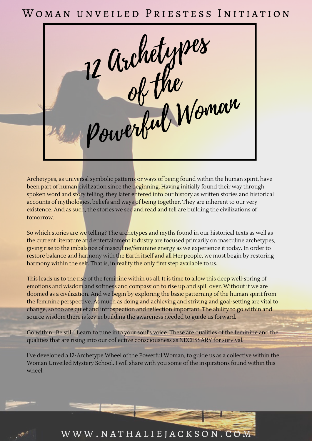# WOMAN UNVEILED PRIESTESS INITIATION





 $\mathcal{L}^{\mathcal{D}^{\mathcal{A}}}$ 

Archetypes, as universal symbolic patterns or ways of being found within the human spirit, have been part of human civilization since the beginning. Having initially found their way through spoken word and story telling, they later entered into our history as written stories and historical accounts of mythologies, beliefs and ways of being together. They are inherent to our very existence. And as such, the stories we see and read and tell are building the civilizations of tomorrow.

So which stories are we telling? The archetypes and myths found in our historical texts as well as

the current literature and entertainment industry are focused primarily on masculine archetypes, giving rise to the imbalance of masculine/feminine energy as we experience it today. In order to restore balance and harmony with the Earth itself and all Her people, we must begin by restoring harmony within the self. That is, in reality the only first step available to us.

This leads us to the rise of the feminine within us all. It is time to allow this deep well-spring of emotions and wisdom and softness and compassion to rise up and spill over. Without it we are doomed as a civilization. And we begin by exploring the basic patterning of the human spirit from the feminine perspective. As much as doing and achieving and striving and goal-setting are vital to change, so too are quiet and introspection and reflection important. The ability to go within and source wisdom there is key in building the awareness needed to guide us forward.

Go within…Be still…Learn to tune into your soul's voice. These are qualities of the feminine and the qualities that are rising into our collective consciousness as NECESSARY for survival.

I've developed a 12-Archetype Wheel of the Powerful Woman, to guide us as a collective within the Woman Unveiled Mystery School. I will share with you some of the inspirations found within this wheel.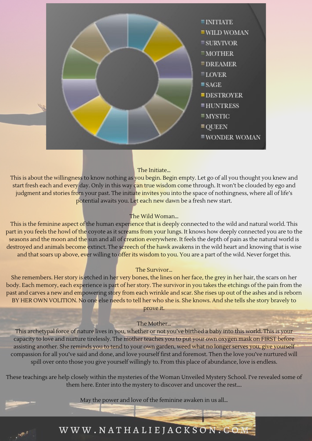

The Initiate…

This is about the willingness to know nothing as you begin. Begin empty. Let go of all you thought you knew and start fresh each and every day. Only in this way can true wisdom come through. It won't be clouded by ego and judgment and stories from your past. The initiate invites you into the space of nothingness, where all of life's potential awaits you. Let each new dawn be a fresh new start.

The Wild Woman…

This is the feminine aspect of the human experience that is deeply connected to the wild and natural world. This part in you feels the howl of the coyote as it screams from your lungs. It knows how deeply connected you are to the seasons and the moon and the sun and all of creation everywhere. It feels the depth of pain as the natural world is destroyed and animals become extinct. The screech of the hawk awakens in the wild heart and knowing that is wise and that soars up above, ever willing to offer its wisdom to you. You are a part of the wild. Never forget this.

She remembers. Her story is etched in her very bones, the lines on her face, the grey in her hair, the scars on her body. Each memory, each experience is part of her story. The survivor in you takes the etchings of the pain from the past and carves a new and empowering story from each wrinkle and scar. She rises up out of the ashes and is reborn BY HER OWN VOLITION. No one else needs to tell her who she is. She knows. And she tells she story bravely to prove it.

#### The Survivor…

### The Mother…

This archetypal force of nature lives in you, whether or not you've birthed a baby into this world. This is your capacity to love and nurture tirelessly. The mother teaches you to put your own oxygen mask on FIRST before assisting another. She reminds you to tend to your own garden, weed what no longer serves you, give yourself compassion for all you've said and done, and love yourself first and foremost. Then the love you've nurtured will spill over onto those you give yourself willingly to. From this place of abundance, love is endless.

These teachings are help closely within the mysteries of the Woman Unveiled Mystery School. I've revealed some of them here. Enter into the mystery to discover and uncover the rest….

May the power and love of the feminine awaken in us all…

## WWW.NATHALIEJACKSON.COM

 $\cdots$